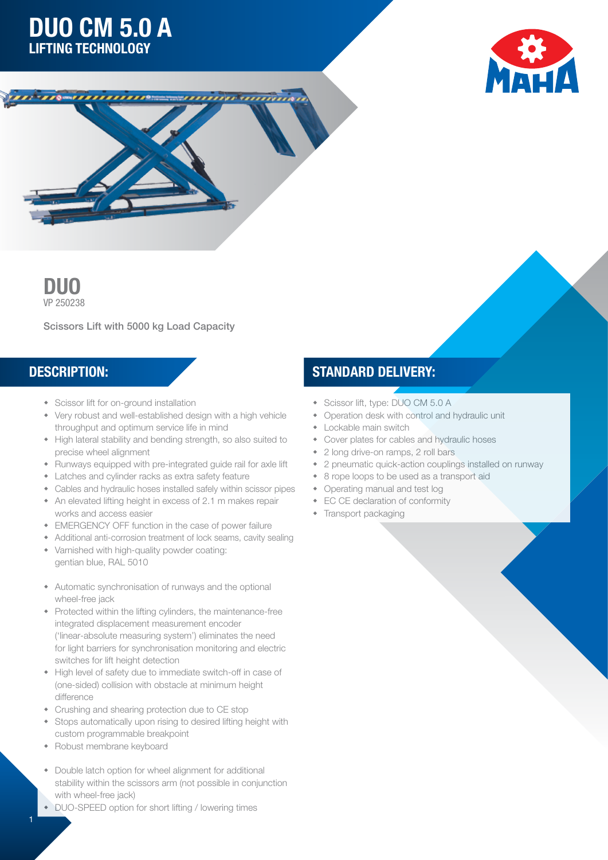# DUO CM 5.0 A LIFTING TECHNOLOGY







Scissors Lift with 5000 kg Load Capacity

- Scissor lift for on-ground installation
- Very robust and well-established design with a high vehicle throughput and optimum service life in mind
- High lateral stability and bending strength, so also suited to precise wheel alignment
- Runways equipped with pre-integrated guide rail for axle lift
- Latches and cylinder racks as extra safety feature
- Cables and hydraulic hoses installed safely within scissor pipes
- An elevated lifting height in excess of 2.1 m makes repair works and access easier
- EMERGENCY OFF function in the case of power failure
- Additional anti-corrosion treatment of lock seams, cavity sealing
- Varnished with high-quality powder coating: gentian blue, RAL 5010
- Automatic synchronisation of runways and the optional wheel-free jack
- Protected within the lifting cylinders, the maintenance-free integrated displacement measurement encoder ('linear-absolute measuring system') eliminates the need for light barriers for synchronisation monitoring and electric switches for lift height detection
- High level of safety due to immediate switch-off in case of (one-sided) collision with obstacle at minimum height difference
- Crushing and shearing protection due to CE stop
- Stops automatically upon rising to desired lifting height with custom programmable breakpoint
- Robust membrane keyboard

1

- Double latch option for wheel alignment for additional stability within the scissors arm (not possible in conjunction with wheel-free jack)
- DUO-SPEED option for short lifting / lowering times

### DESCRIPTION: STANDARD DELIVERY:

- Scissor lift, type: DUO CM 5.0 A
- Operation desk with control and hydraulic unit
- Lockable main switch
- Cover plates for cables and hydraulic hoses
- 2 long drive-on ramps, 2 roll bars
- 2 pneumatic quick-action couplings installed on runway
- 8 rope loops to be used as a transport aid
- Operating manual and test log
- EC CE declaration of conformity
- $\bullet$  Transport packaging